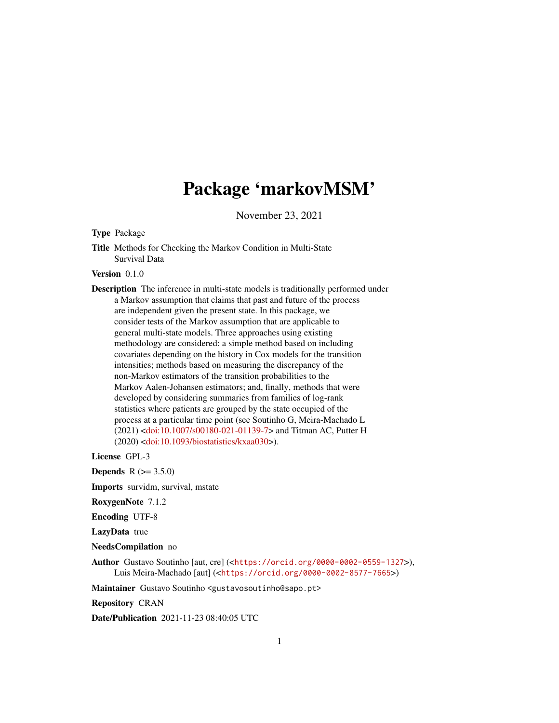## Package 'markovMSM'

November 23, 2021

Type Package

Title Methods for Checking the Markov Condition in Multi-State Survival Data

Version 0.1.0

Description The inference in multi-state models is traditionally performed under a Markov assumption that claims that past and future of the process are independent given the present state. In this package, we consider tests of the Markov assumption that are applicable to general multi-state models. Three approaches using existing methodology are considered: a simple method based on including covariates depending on the history in Cox models for the transition intensities; methods based on measuring the discrepancy of the non-Markov estimators of the transition probabilities to the Markov Aalen-Johansen estimators; and, finally, methods that were developed by considering summaries from families of log-rank statistics where patients are grouped by the state occupied of the process at a particular time point (see Soutinho G, Meira-Machado L (2021) [<doi:10.1007/s00180-021-01139-7>](https://doi.org/10.1007/s00180-021-01139-7) and Titman AC, Putter H (2020) [<doi:10.1093/biostatistics/kxaa030>](https://doi.org/10.1093/biostatistics/kxaa030)).

License GPL-3

**Depends**  $R (= 3.5.0)$ 

Imports survidm, survival, mstate

RoxygenNote 7.1.2

Encoding UTF-8

LazyData true

NeedsCompilation no

Author Gustavo Soutinho [aut, cre] (<<https://orcid.org/0000-0002-0559-1327>>), Luis Meira-Machado [aut] (<<https://orcid.org/0000-0002-8577-7665>>)

Maintainer Gustavo Soutinho <gustavosoutinho@sapo.pt>

Repository CRAN

Date/Publication 2021-11-23 08:40:05 UTC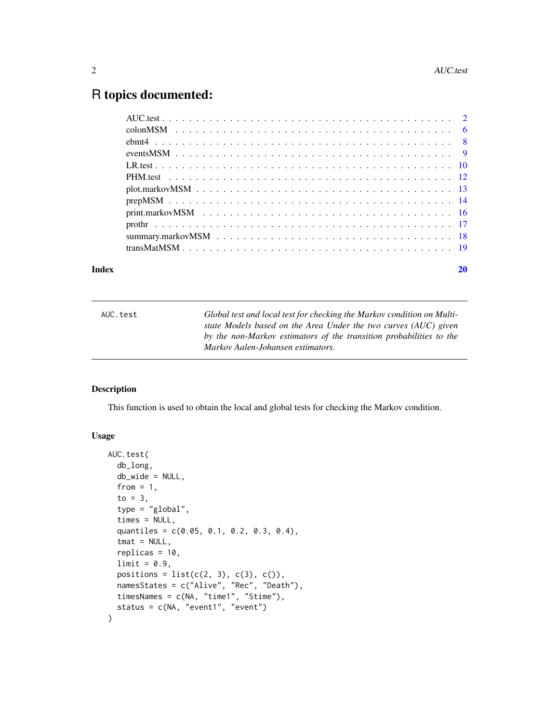## <span id="page-1-0"></span>R topics documented:

| Index | 20 |
|-------|----|
|       |    |
|       |    |
|       |    |
|       |    |
|       |    |
|       |    |
|       |    |
|       |    |
|       |    |
|       |    |
|       |    |
|       |    |

## AUC.test *Global test and local test for checking the Markov condition on Multistate Models based on the Area Under the two curves (AUC) given by the non-Markov estimators of the transition probabilities to the Markov Aalen-Johansen estimators.*

## Description

This function is used to obtain the local and global tests for checking the Markov condition.

## Usage

```
AUC.test(
  db_long,
  db_wide = NULL,
  from = 1,
  to = 3,
  type = "global",
  times = NULL,
  quantiles = c(0.05, 0.1, 0.2, 0.3, 0.4),
  tmat = NULL,
  replicas = 10,
  limit = 0.9,positions = list(c(2, 3), c(3), c()),
  namesStates = c("Alive", "Rec", "Death"),
  timesNames = c(NA, "time1", "Stime"),
  status = c(NA, "event1", "event")
\mathcal{E}
```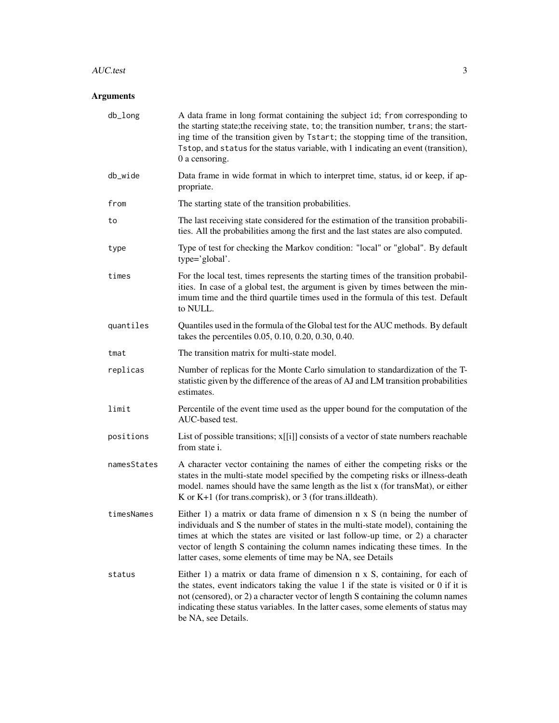#### AUC.test 3

## Arguments

| db_long     | A data frame in long format containing the subject id; from corresponding to<br>the starting state; the receiving state, to; the transition number, trans; the start-<br>ing time of the transition given by Tstart; the stopping time of the transition,<br>Tstop, and status for the status variable, with 1 indicating an event (transition),<br>0 a censoring.                                      |
|-------------|---------------------------------------------------------------------------------------------------------------------------------------------------------------------------------------------------------------------------------------------------------------------------------------------------------------------------------------------------------------------------------------------------------|
| db_wide     | Data frame in wide format in which to interpret time, status, id or keep, if ap-<br>propriate.                                                                                                                                                                                                                                                                                                          |
| from        | The starting state of the transition probabilities.                                                                                                                                                                                                                                                                                                                                                     |
| to          | The last receiving state considered for the estimation of the transition probabili-<br>ties. All the probabilities among the first and the last states are also computed.                                                                                                                                                                                                                               |
| type        | Type of test for checking the Markov condition: "local" or "global". By default<br>type='global'.                                                                                                                                                                                                                                                                                                       |
| times       | For the local test, times represents the starting times of the transition probabil-<br>ities. In case of a global test, the argument is given by times between the min-<br>imum time and the third quartile times used in the formula of this test. Default<br>to NULL.                                                                                                                                 |
| quantiles   | Quantiles used in the formula of the Global test for the AUC methods. By default<br>takes the percentiles 0.05, 0.10, 0.20, 0.30, 0.40.                                                                                                                                                                                                                                                                 |
| tmat        | The transition matrix for multi-state model.                                                                                                                                                                                                                                                                                                                                                            |
| replicas    | Number of replicas for the Monte Carlo simulation to standardization of the T-<br>statistic given by the difference of the areas of AJ and LM transition probabilities<br>estimates.                                                                                                                                                                                                                    |
| limit       | Percentile of the event time used as the upper bound for the computation of the<br>AUC-based test.                                                                                                                                                                                                                                                                                                      |
| positions   | List of possible transitions; x[[i]] consists of a vector of state numbers reachable<br>from state i.                                                                                                                                                                                                                                                                                                   |
| namesStates | A character vector containing the names of either the competing risks or the<br>states in the multi-state model specified by the competing risks or illness-death<br>model. names should have the same length as the list x (for transMat), or either<br>K or $K+1$ (for trans.comprisk), or 3 (for trans.illdeath).                                                                                    |
| timesNames  | Either 1) a matrix or data frame of dimension $n \times S$ (n being the number of<br>individuals and S the number of states in the multi-state model), containing the<br>times at which the states are visited or last follow-up time, or 2) a character<br>vector of length S containing the column names indicating these times. In the<br>latter cases, some elements of time may be NA, see Details |
| status      | Either 1) a matrix or data frame of dimension $n \times S$ , containing, for each of<br>the states, event indicators taking the value 1 if the state is visited or $0$ if it is<br>not (censored), or 2) a character vector of length S containing the column names<br>indicating these status variables. In the latter cases, some elements of status may<br>be NA, see Details.                       |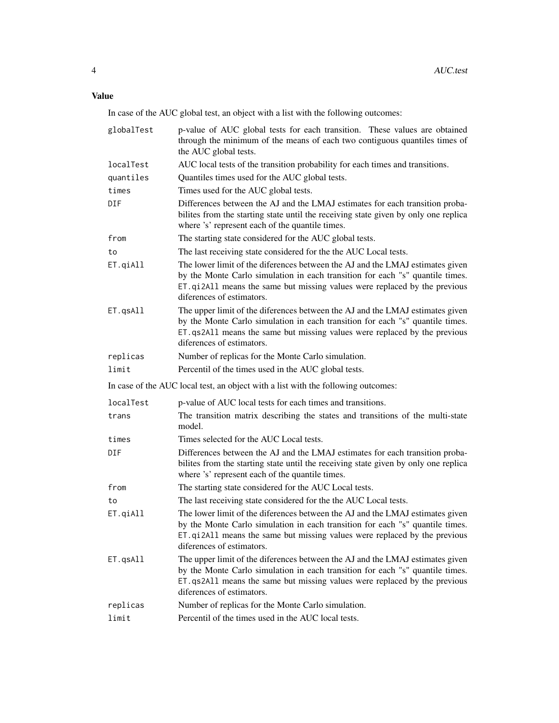In case of the AUC global test, an object with a list with the following outcomes:

| globalTest | p-value of AUC global tests for each transition. These values are obtained<br>through the minimum of the means of each two contiguous quantiles times of<br>the AUC global tests.                                                                                        |
|------------|--------------------------------------------------------------------------------------------------------------------------------------------------------------------------------------------------------------------------------------------------------------------------|
| localTest  | AUC local tests of the transition probability for each times and transitions.                                                                                                                                                                                            |
| quantiles  | Quantiles times used for the AUC global tests.                                                                                                                                                                                                                           |
| times      | Times used for the AUC global tests.                                                                                                                                                                                                                                     |
| DIF        | Differences between the AJ and the LMAJ estimates for each transition proba-<br>bilites from the starting state until the receiving state given by only one replica<br>where 's' represent each of the quantile times.                                                   |
| from       | The starting state considered for the AUC global tests.                                                                                                                                                                                                                  |
| to         | The last receiving state considered for the the AUC Local tests.                                                                                                                                                                                                         |
| ET.qiAll   | The lower limit of the diferences between the AJ and the LMAJ estimates given<br>by the Monte Carlo simulation in each transition for each "s" quantile times.<br>ET.qi2All means the same but missing values were replaced by the previous<br>diferences of estimators. |
| ET.qsAll   | The upper limit of the diferences between the AJ and the LMAJ estimates given<br>by the Monte Carlo simulation in each transition for each "s" quantile times.<br>ET.qs2A11 means the same but missing values were replaced by the previous<br>diferences of estimators. |
| replicas   | Number of replicas for the Monte Carlo simulation.                                                                                                                                                                                                                       |
| limit      | Percentil of the times used in the AUC global tests.                                                                                                                                                                                                                     |
|            | In case of the AUC local test, an object with a list with the following outcomes:                                                                                                                                                                                        |
| localTest  | p-value of AUC local tests for each times and transitions.                                                                                                                                                                                                               |
| trans      | The transition matrix describing the states and transitions of the multi-state<br>model.                                                                                                                                                                                 |
| times      | Times selected for the AUC Local tests.                                                                                                                                                                                                                                  |
| DIF        | Differences between the AJ and the LMAJ estimates for each transition proba-<br>bilities from the starting state until the receiving state given by only one replica<br>where 's' represent each of the quantile times.                                                  |
| from       | The starting state considered for the AUC Local tests.                                                                                                                                                                                                                   |
| to         | The last receiving state considered for the the AUC Local tests.                                                                                                                                                                                                         |
| ET.qiAll   | The lower limit of the diferences between the AJ and the LMAJ estimates given<br>by the Monte Carlo simulation in each transition for each "s" quantile times.<br>ET.qi2All means the same but missing values were replaced by the previous<br>diferences of estimators. |
| ET.qsAll   | The upper limit of the diferences between the AJ and the LMAJ estimates given                                                                                                                                                                                            |
|            | by the Monte Carlo simulation in each transition for each "s" quantile times.<br>ET.qs2A11 means the same but missing values were replaced by the previous<br>diferences of estimators.                                                                                  |
| replicas   | Number of replicas for the Monte Carlo simulation.                                                                                                                                                                                                                       |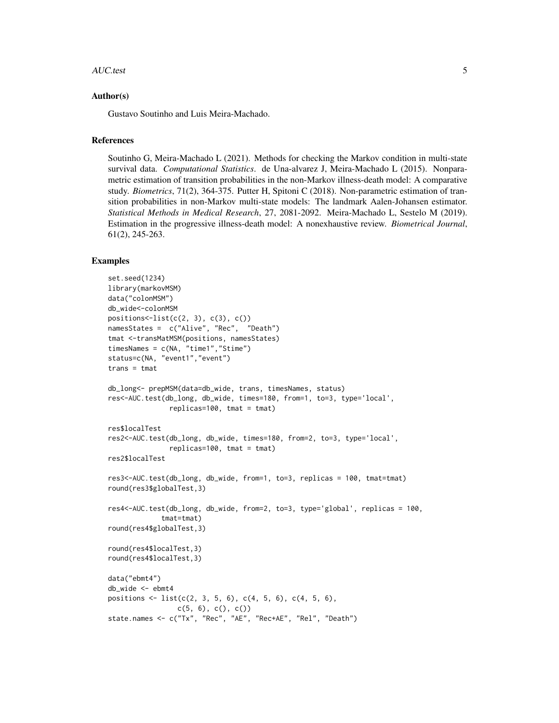#### AUC.test 5

#### Author(s)

Gustavo Soutinho and Luis Meira-Machado.

## References

Soutinho G, Meira-Machado L (2021). Methods for checking the Markov condition in multi-state survival data. *Computational Statistics*. de Una-alvarez J, Meira-Machado L (2015). Nonparametric estimation of transition probabilities in the non-Markov illness-death model: A comparative study. *Biometrics*, 71(2), 364-375. Putter H, Spitoni C (2018). Non-parametric estimation of transition probabilities in non-Markov multi-state models: The landmark Aalen-Johansen estimator. *Statistical Methods in Medical Research*, 27, 2081-2092. Meira-Machado L, Sestelo M (2019). Estimation in the progressive illness-death model: A nonexhaustive review. *Biometrical Journal*, 61(2), 245-263.

```
set.seed(1234)
library(markovMSM)
data("colonMSM")
db_wide<-colonMSM
positions<-list(c(2, 3), c(3), c())namesStates = c("Alive", "Rec", "Death")
tmat <-transMatMSM(positions, namesStates)
timesNames = c(NA, "time1","Stime")
status=c(NA, "event1","event")
trans = tmatdb_long<- prepMSM(data=db_wide, trans, timesNames, status)
res<-AUC.test(db_long, db_wide, times=180, from=1, to=3, type='local',
               replicas=100, tmat = tmat)
res$localTest
res2<-AUC.test(db_long, db_wide, times=180, from=2, to=3, type='local',
               replicas=100, tmat = tmat)
res2$localTest
res3<-AUC.test(db_long, db_wide, from=1, to=3, replicas = 100, tmat=tmat)
round(res3$globalTest,3)
res4<-AUC.test(db_long, db_wide, from=2, to=3, type='global', replicas = 100,
             tmat=tmat)
round(res4$globalTest,3)
round(res4$localTest,3)
round(res4$localTest,3)
data("ebmt4")
db_wide <- ebmt4
positions \leq list(c(2, 3, 5, 6), c(4, 5, 6), c(4, 5, 6),
                 c(5, 6), c(), c()state.names <- c("Tx", "Rec", "AE", "Rec+AE", "Rel", "Death")
```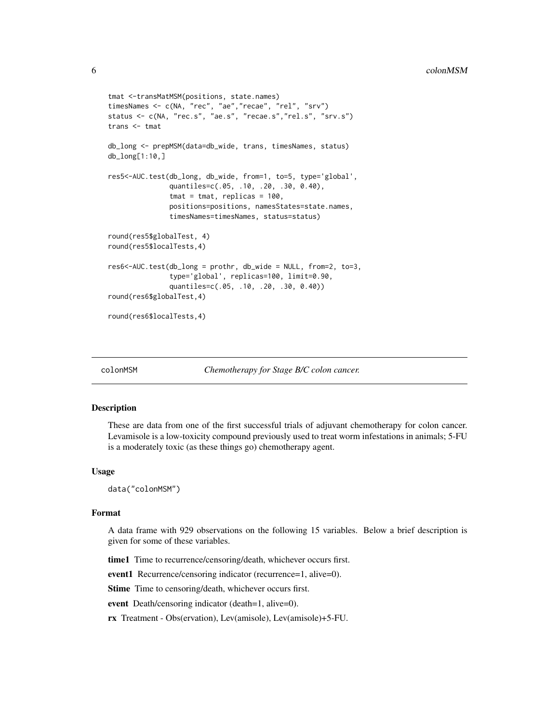```
tmat <-transMatMSM(positions, state.names)
timesNames <- c(NA, "rec", "ae","recae", "rel", "srv")
status <- c(NA, "rec.s", "ae.s", "recae.s","rel.s", "srv.s")
trans <- tmat
db_long <- prepMSM(data=db_wide, trans, timesNames, status)
db_long[1:10,]
res5<-AUC.test(db_long, db_wide, from=1, to=5, type='global',
               quantiles=c(.05, .10, .20, .30, 0.40),
               tmat = tmat, replicas = 100,
               positions=positions, namesStates=state.names,
               timesNames=timesNames, status=status)
round(res5$globalTest, 4)
round(res5$localTests,4)
res6<-AUC.test(db_long = prothr, db_wide = NULL, from=2, to=3,
               type='global', replicas=100, limit=0.90,
               quantiles=c(.05, .10, .20, .30, 0.40))
round(res6$globalTest,4)
round(res6$localTests,4)
```
colonMSM *Chemotherapy for Stage B/C colon cancer.*

#### Description

These are data from one of the first successful trials of adjuvant chemotherapy for colon cancer. Levamisole is a low-toxicity compound previously used to treat worm infestations in animals; 5-FU is a moderately toxic (as these things go) chemotherapy agent.

#### Usage

data("colonMSM")

#### Format

A data frame with 929 observations on the following 15 variables. Below a brief description is given for some of these variables.

time1 Time to recurrence/censoring/death, whichever occurs first.

event1 Recurrence/censoring indicator (recurrence=1, alive=0).

Stime Time to censoring/death, whichever occurs first.

event Death/censoring indicator (death=1, alive=0).

rx Treatment - Obs(ervation), Lev(amisole), Lev(amisole)+5-FU.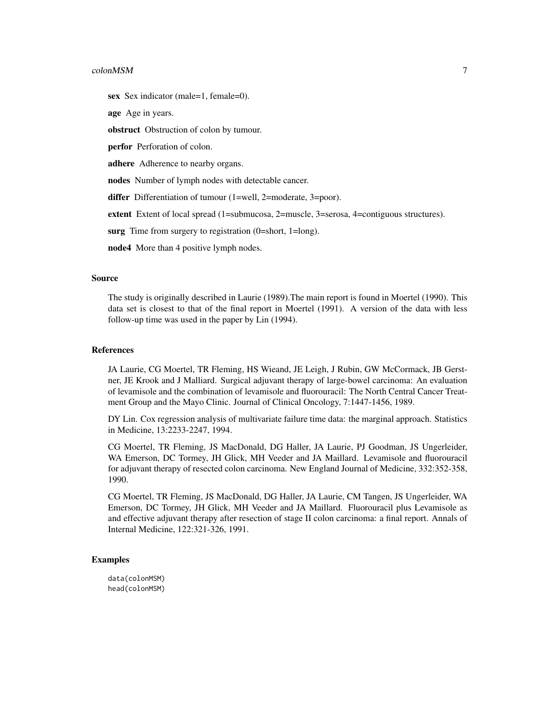#### colonMSM 7

sex Sex indicator (male=1, female=0).

age Age in years.

obstruct Obstruction of colon by tumour.

perfor Perforation of colon.

adhere Adherence to nearby organs.

nodes Number of lymph nodes with detectable cancer.

differ Differentiation of tumour (1=well, 2=moderate, 3=poor).

extent Extent of local spread (1=submucosa, 2=muscle, 3=serosa, 4=contiguous structures).

surg Time from surgery to registration (0=short, 1=long).

node4 More than 4 positive lymph nodes.

#### Source

The study is originally described in Laurie (1989).The main report is found in Moertel (1990). This data set is closest to that of the final report in Moertel (1991). A version of the data with less follow-up time was used in the paper by Lin (1994).

#### References

JA Laurie, CG Moertel, TR Fleming, HS Wieand, JE Leigh, J Rubin, GW McCormack, JB Gerstner, JE Krook and J Malliard. Surgical adjuvant therapy of large-bowel carcinoma: An evaluation of levamisole and the combination of levamisole and fluorouracil: The North Central Cancer Treatment Group and the Mayo Clinic. Journal of Clinical Oncology, 7:1447-1456, 1989.

DY Lin. Cox regression analysis of multivariate failure time data: the marginal approach. Statistics in Medicine, 13:2233-2247, 1994.

CG Moertel, TR Fleming, JS MacDonald, DG Haller, JA Laurie, PJ Goodman, JS Ungerleider, WA Emerson, DC Tormey, JH Glick, MH Veeder and JA Maillard. Levamisole and fluorouracil for adjuvant therapy of resected colon carcinoma. New England Journal of Medicine, 332:352-358, 1990.

CG Moertel, TR Fleming, JS MacDonald, DG Haller, JA Laurie, CM Tangen, JS Ungerleider, WA Emerson, DC Tormey, JH Glick, MH Veeder and JA Maillard. Fluorouracil plus Levamisole as and effective adjuvant therapy after resection of stage II colon carcinoma: a final report. Annals of Internal Medicine, 122:321-326, 1991.

#### Examples

data(colonMSM) head(colonMSM)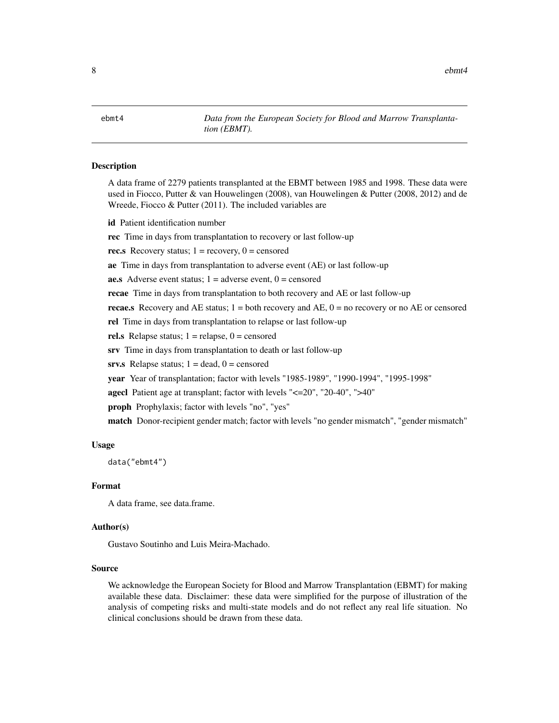<span id="page-7-0"></span>8 ebmt4

ebmt4 *Data from the European Society for Blood and Marrow Transplantation (EBMT).*

#### Description

A data frame of 2279 patients transplanted at the EBMT between 1985 and 1998. These data were used in Fiocco, Putter & van Houwelingen (2008), van Houwelingen & Putter (2008, 2012) and de Wreede, Fiocco & Putter (2011). The included variables are

id Patient identification number

rec Time in days from transplantation to recovery or last follow-up

rec.s Recovery status;  $1 =$  recovery,  $0 =$  censored

ae Time in days from transplantation to adverse event (AE) or last follow-up

**ae.s** Adverse event status;  $1 =$  adverse event,  $0 =$  censored

recae Time in days from transplantation to both recovery and AE or last follow-up

**recae.s** Recovery and AE status;  $1 =$  both recovery and AE,  $0 =$  no recovery or no AE or censored

rel Time in days from transplantation to relapse or last follow-up

rel.s Relapse status;  $1 =$  relapse,  $0 =$  censored

srv Time in days from transplantation to death or last follow-up

srv.s Relapse status;  $1 = dead$ ,  $0 = c$ ensored

year Year of transplantation; factor with levels "1985-1989", "1990-1994", "1995-1998"

agecl Patient age at transplant; factor with levels "<=20", "20-40", ">40"

proph Prophylaxis; factor with levels "no", "yes"

match Donor-recipient gender match; factor with levels "no gender mismatch", "gender mismatch"

#### Usage

data("ebmt4")

#### Format

A data frame, see data.frame.

#### Author(s)

Gustavo Soutinho and Luis Meira-Machado.

#### Source

We acknowledge the European Society for Blood and Marrow Transplantation (EBMT) for making available these data. Disclaimer: these data were simplified for the purpose of illustration of the analysis of competing risks and multi-state models and do not reflect any real life situation. No clinical conclusions should be drawn from these data.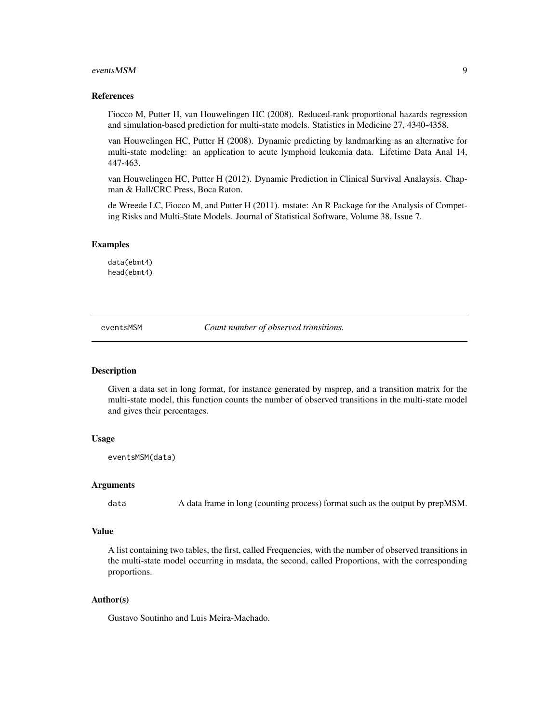#### <span id="page-8-0"></span>eventsMSM 9

#### References

Fiocco M, Putter H, van Houwelingen HC (2008). Reduced-rank proportional hazards regression and simulation-based prediction for multi-state models. Statistics in Medicine 27, 4340-4358.

van Houwelingen HC, Putter H (2008). Dynamic predicting by landmarking as an alternative for multi-state modeling: an application to acute lymphoid leukemia data. Lifetime Data Anal 14, 447-463.

van Houwelingen HC, Putter H (2012). Dynamic Prediction in Clinical Survival Analaysis. Chapman & Hall/CRC Press, Boca Raton.

de Wreede LC, Fiocco M, and Putter H (2011). mstate: An R Package for the Analysis of Competing Risks and Multi-State Models. Journal of Statistical Software, Volume 38, Issue 7.

#### Examples

data(ebmt4) head(ebmt4)

eventsMSM *Count number of observed transitions.*

#### Description

Given a data set in long format, for instance generated by msprep, and a transition matrix for the multi-state model, this function counts the number of observed transitions in the multi-state model and gives their percentages.

#### Usage

eventsMSM(data)

#### Arguments

data A data frame in long (counting process) format such as the output by prepMSM.

#### Value

A list containing two tables, the first, called Frequencies, with the number of observed transitions in the multi-state model occurring in msdata, the second, called Proportions, with the corresponding proportions.

#### Author(s)

Gustavo Soutinho and Luis Meira-Machado.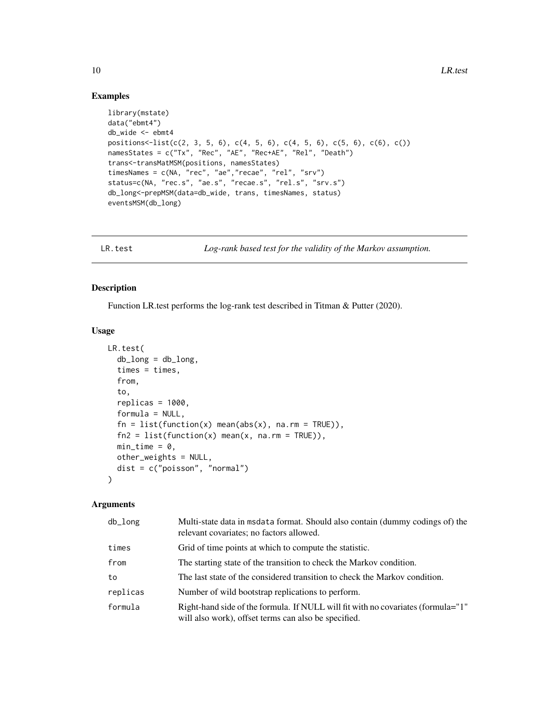## Examples

```
library(mstate)
data("ebmt4")
db_wide <- ebmt4
positions \{-list(c(2, 3, 5, 6), c(4, 5, 6), c(4, 5, 6), c(5, 6), c(6), c))\}namesStates = c("Tx", "Rec", "AE", "Rec+AE", "Rel", "Death")
trans<-transMatMSM(positions, namesStates)
timesNames = c(NA, "rec", "ae","recae", "rel", "srv")
status=c(NA, "rec.s", "ae.s", "recae.s", "rel.s", "srv.s")
db_long<-prepMSM(data=db_wide, trans, timesNames, status)
eventsMSM(db_long)
```
LR.test *Log-rank based test for the validity of the Markov assumption.*

#### Description

Function LR.test performs the log-rank test described in Titman & Putter (2020).

## Usage

```
LR.test(
  db\_long = db\_long,
  times = times,
  from,
  to,
  replicas = 1000,
  formula = NULL,
  fn = list(function(x) mean(abs(x), na.rm = TRUE)),fn2 = list(function(x) mean(x, na.rm = TRUE)),min\_time = 0,
  other_weights = NULL,
  dist = c("poisson", "normal")
)
```
## Arguments

| $db_l$ ong | Multi-state data in msdata format. Should also contain (dummy codings of) the<br>relevant covariates; no factors allowed.                |
|------------|------------------------------------------------------------------------------------------------------------------------------------------|
| times      | Grid of time points at which to compute the statistic.                                                                                   |
| from       | The starting state of the transition to check the Markov condition.                                                                      |
| to         | The last state of the considered transition to check the Markov condition.                                                               |
| replicas   | Number of wild bootstrap replications to perform.                                                                                        |
| formula    | Right-hand side of the formula. If NULL will fit with no covariates (formula="1"<br>will also work), offset terms can also be specified. |

<span id="page-9-0"></span>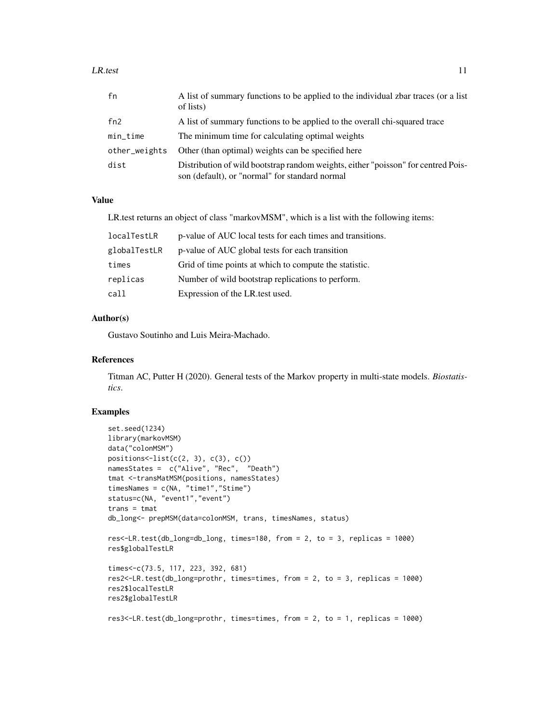#### $LR.test$  11

| fn            | A list of summary functions to be applied to the individual zbar traces (or a list<br>of lists)                                     |
|---------------|-------------------------------------------------------------------------------------------------------------------------------------|
| fn2           | A list of summary functions to be applied to the overall chi-squared trace                                                          |
| $min\_time$   | The minimum time for calculating optimal weights                                                                                    |
| other_weights | Other (than optimal) weights can be specified here                                                                                  |
| dist          | Distribution of wild bootstrap random weights, either "poisson" for centred Pois-<br>son (default), or "normal" for standard normal |

## Value

LR.test returns an object of class "markovMSM", which is a list with the following items:

| localTestLR  | p-value of AUC local tests for each times and transitions. |
|--------------|------------------------------------------------------------|
| globalTestLR | p-value of AUC global tests for each transition            |
| times        | Grid of time points at which to compute the statistic.     |
| replicas     | Number of wild bootstrap replications to perform.          |
| call         | Expression of the LR test used.                            |

#### Author(s)

Gustavo Soutinho and Luis Meira-Machado.

#### References

Titman AC, Putter H (2020). General tests of the Markov property in multi-state models. *Biostatistics*.

```
set.seed(1234)
library(markovMSM)
data("colonMSM")
positions \text{-list}(c(2, 3), c(3), c())namesStates = c("Alive", "Rec", "Death")
tmat <-transMatMSM(positions, namesStates)
timesNames = c(NA, "time1","Stime")
status=c(NA, "event1","event")
trans = tmat
db_long<- prepMSM(data=colonMSM, trans, timesNames, status)
res<-LR.test(db_long=db_long, times=180, from = 2, to = 3, replicas = 1000)
res$globalTestLR
times<-c(73.5, 117, 223, 392, 681)
res2<-LR.test(db_long=prothr, times=times, from = 2, to = 3, replicas = 1000)
res2$localTestLR
res2$globalTestLR
res3<-LR.test(db_long=prothr, times=times, from = 2, to = 1, replicas = 1000)
```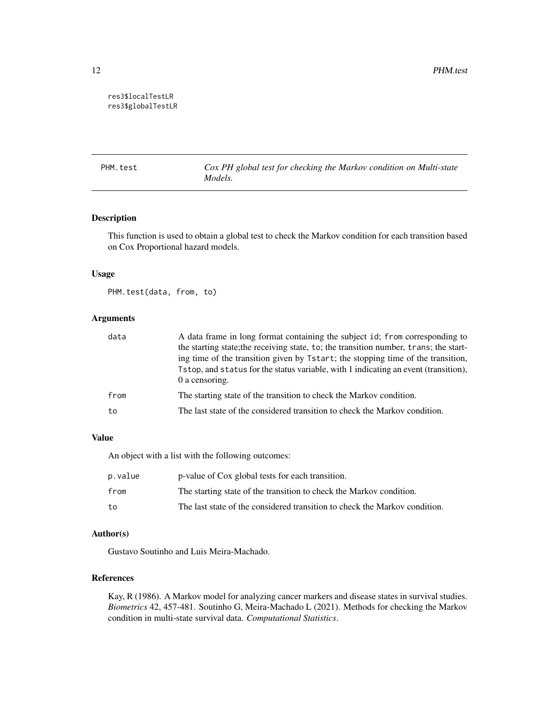### <span id="page-11-0"></span>res3\$localTestLR res3\$globalTestLR

PHM.test *Cox PH global test for checking the Markov condition on Multi-state Models.*

## Description

This function is used to obtain a global test to check the Markov condition for each transition based on Cox Proportional hazard models.

#### Usage

PHM.test(data, from, to)

## Arguments

| data | A data frame in long format containing the subject id; from corresponding to<br>the starting state; the receiving state, to; the transition number, trans; the start-                       |
|------|---------------------------------------------------------------------------------------------------------------------------------------------------------------------------------------------|
|      | ing time of the transition given by Tstart; the stopping time of the transition,<br>Tstop, and status for the status variable, with 1 indicating an event (transition),<br>$0$ a censoring. |
| from | The starting state of the transition to check the Markov condition.                                                                                                                         |
| to   | The last state of the considered transition to check the Markov condition.                                                                                                                  |

#### Value

An object with a list with the following outcomes:

| p.value | p-value of Cox global tests for each transition.                           |
|---------|----------------------------------------------------------------------------|
| from    | The starting state of the transition to check the Markov condition.        |
| to      | The last state of the considered transition to check the Markov condition. |

## Author(s)

Gustavo Soutinho and Luis Meira-Machado.

#### References

Kay, R (1986). A Markov model for analyzing cancer markers and disease states in survival studies. *Biometrics* 42, 457-481. Soutinho G, Meira-Machado L (2021). Methods for checking the Markov condition in multi-state survival data. *Computational Statistics*.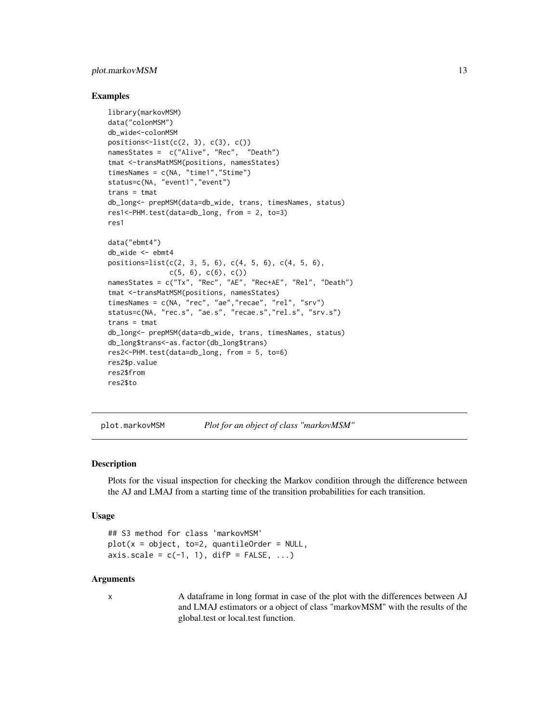## <span id="page-12-0"></span>plot.markovMSM 13

#### Examples

```
library(markovMSM)
data("colonMSM")
db_wide<-colonMSM
positions<-list(c(2, 3), c(3), c())namesStates = c("Alive", "Rec", "Death")
tmat <-transMatMSM(positions, namesStates)
timesNames = c(NA, "time1","Stime")
status=c(NA, "event1", "event")
trans = tmat
db_long<- prepMSM(data=db_wide, trans, timesNames, status)
res1<-PHM.test(data=db_long, from = 2, to=3)
res1
data("ebmt4")
db_wide <- ebmt4
positions=list(c(2, 3, 5, 6), c(4, 5, 6), c(4, 5, 6),
              c(5, 6), c(6), c()namesStates = c("Tx", "Rec", "AE", "Rec+AE", "Rel", "Death")
tmat <-transMatMSM(positions, namesStates)
timesNames = c(NA, "rec", "ae","recae", "rel", "srv")
status=c(NA, "rec.s", "ae.s", "recae.s","rel.s", "srv.s")
trans = tmat
db_long<- prepMSM(data=db_wide, trans, timesNames, status)
db_long$trans<-as.factor(db_long$trans)
res2<-PHM.test(data=db_long, from = 5, to=6)
res2$p.value
res2$from
res2$to
```
plot.markovMSM *Plot for an object of class "markovMSM"*

#### Description

Plots for the visual inspection for checking the Markov condition through the difference between the AJ and LMAJ from a starting time of the transition probabilities for each transition.

#### Usage

```
## S3 method for class 'markovMSM'
plot(x = object, to=2, quantileOrder = NULL,axis.scale = c(-1, 1), difP = FALSE, ...)
```
#### Arguments

x A dataframe in long format in case of the plot with the differences between AJ and LMAJ estimators or a object of class "markovMSM" with the results of the global.test or local.test function.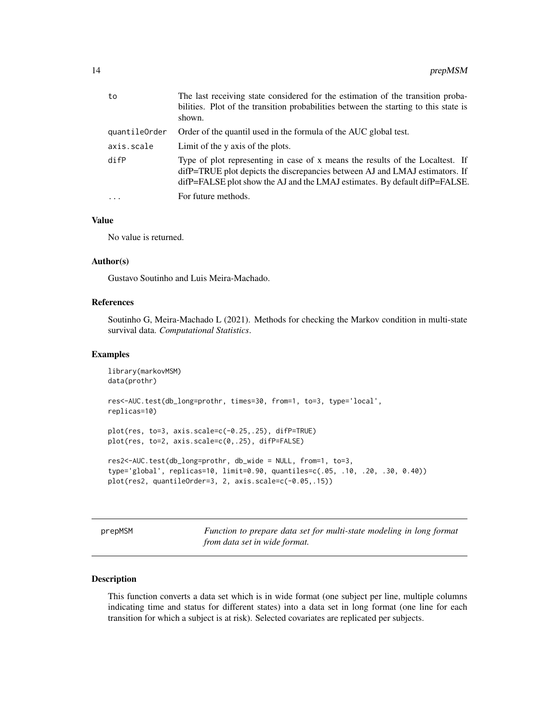<span id="page-13-0"></span>

| to            | The last receiving state considered for the estimation of the transition proba-<br>bilities. Plot of the transition probabilities between the starting to this state is<br>shown.                                                          |
|---------------|--------------------------------------------------------------------------------------------------------------------------------------------------------------------------------------------------------------------------------------------|
| quantileOrder | Order of the quantil used in the formula of the AUC global test.                                                                                                                                                                           |
| axis.scale    | Limit of the y axis of the plots.                                                                                                                                                                                                          |
| difP          | Type of plot representing in case of x means the results of the Localtest. If<br>difP=TRUE plot depicts the discrepancies between AJ and LMAJ estimators. If<br>difP=FALSE plot show the AJ and the LMAJ estimates. By default difP=FALSE. |
| $\cdots$      | For future methods.                                                                                                                                                                                                                        |

## Value

No value is returned.

## Author(s)

Gustavo Soutinho and Luis Meira-Machado.

## References

Soutinho G, Meira-Machado L (2021). Methods for checking the Markov condition in multi-state survival data. *Computational Statistics*.

#### Examples

```
library(markovMSM)
data(prothr)
res<-AUC.test(db_long=prothr, times=30, from=1, to=3, type='local',
replicas=10)
plot(res, to=3, axis.scale=c(-0.25,.25), difP=TRUE)
plot(res, to=2, axis.scale=c(0,.25), difP=FALSE)
res2<-AUC.test(db_long=prothr, db_wide = NULL, from=1, to=3,
type='global', replicas=10, limit=0.90, quantiles=c(.05, .10, .20, .30, 0.40))
plot(res2, quantileOrder=3, 2, axis.scale=c(-0.05,.15))
```
prepMSM *Function to prepare data set for multi-state modeling in long format from data set in wide format.*

### Description

This function converts a data set which is in wide format (one subject per line, multiple columns indicating time and status for different states) into a data set in long format (one line for each transition for which a subject is at risk). Selected covariates are replicated per subjects.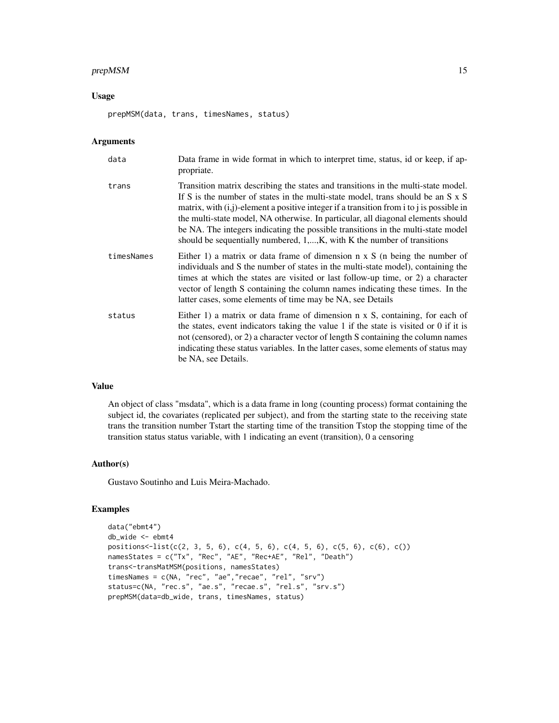## prepMSM 15

## Usage

prepMSM(data, trans, timesNames, status)

## Arguments

| data       | Data frame in wide format in which to interpret time, status, id or keep, if ap-<br>propriate.                                                                                                                                                                                                                                                                                                                                                                                                                                     |
|------------|------------------------------------------------------------------------------------------------------------------------------------------------------------------------------------------------------------------------------------------------------------------------------------------------------------------------------------------------------------------------------------------------------------------------------------------------------------------------------------------------------------------------------------|
| trans      | Transition matrix describing the states and transitions in the multi-state model.<br>If S is the number of states in the multi-state model, trans should be an S x S<br>matrix, with $(i, j)$ -element a positive integer if a transition from i to j is possible in<br>the multi-state model, NA otherwise. In particular, all diagonal elements should<br>be NA. The integers indicating the possible transitions in the multi-state model<br>should be sequentially numbered, $1, \ldots, K$ , with K the number of transitions |
| timesNames | Either 1) a matrix or data frame of dimension $n \times S$ (n being the number of<br>individuals and S the number of states in the multi-state model), containing the<br>times at which the states are visited or last follow-up time, or 2) a character<br>vector of length S containing the column names indicating these times. In the<br>latter cases, some elements of time may be NA, see Details                                                                                                                            |
| status     | Either 1) a matrix or data frame of dimension $n \times S$ , containing, for each of<br>the states, event indicators taking the value 1 if the state is visited or 0 if it is<br>not (censored), or 2) a character vector of length S containing the column names<br>indicating these status variables. In the latter cases, some elements of status may<br>be NA, see Details.                                                                                                                                                    |

## Value

An object of class "msdata", which is a data frame in long (counting process) format containing the subject id, the covariates (replicated per subject), and from the starting state to the receiving state trans the transition number Tstart the starting time of the transition Tstop the stopping time of the transition status status variable, with 1 indicating an event (transition), 0 a censoring

## Author(s)

Gustavo Soutinho and Luis Meira-Machado.

```
data("ebmt4")
db_wide <- ebmt4
positions \{-list(c(2, 3, 5, 6), c(4, 5, 6), c(4, 5, 6), c(5, 6), c(6), c))\}namesStates = c("Tx", "Rec", "AE", "Rec+AE", "Rel", "Death")
trans<-transMatMSM(positions, namesStates)
timesNames = c(NA, "rec", "ae","recae", "rel", "srv")
status=c(NA, "rec.s", "ae.s", "recae.s", "rel.s", "srv.s")
prepMSM(data=db_wide, trans, timesNames, status)
```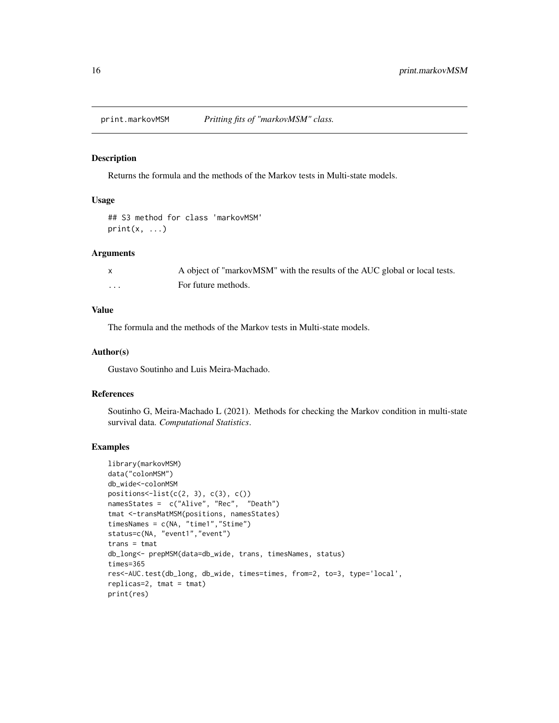<span id="page-15-0"></span>

#### Description

Returns the formula and the methods of the Markov tests in Multi-state models.

## Usage

```
## S3 method for class 'markovMSM'
print(x, \ldots)
```
#### Arguments

|          | A object of "markovMSM" with the results of the AUC global or local tests. |
|----------|----------------------------------------------------------------------------|
| $\cdots$ | For future methods.                                                        |

## Value

The formula and the methods of the Markov tests in Multi-state models.

#### Author(s)

Gustavo Soutinho and Luis Meira-Machado.

## References

Soutinho G, Meira-Machado L (2021). Methods for checking the Markov condition in multi-state survival data. *Computational Statistics*.

```
library(markovMSM)
data("colonMSM")
db_wide<-colonMSM
positions \text{-list}(c(2, 3), c(3), c())namesStates = c("Alive", "Rec", "Death")
tmat <-transMatMSM(positions, namesStates)
timesNames = c(NA, "time1","Stime")
status=c(NA, "event1","event")
trans = tmat
db_long<- prepMSM(data=db_wide, trans, timesNames, status)
times=365
res<-AUC.test(db_long, db_wide, times=times, from=2, to=3, type='local',
replicas=2, tmat = tmat)
print(res)
```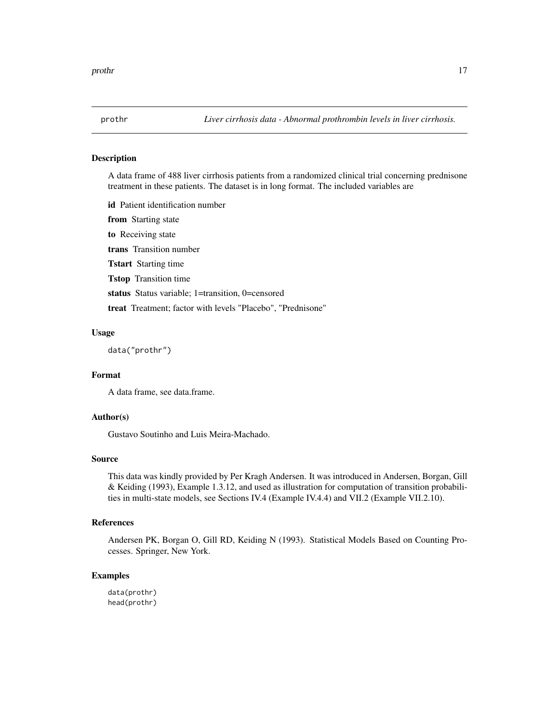<span id="page-16-0"></span>

#### Description

A data frame of 488 liver cirrhosis patients from a randomized clinical trial concerning prednisone treatment in these patients. The dataset is in long format. The included variables are

id Patient identification number from Starting state to Receiving state trans Transition number Tstart Starting time Tstop Transition time status Status variable; 1=transition, 0=censored treat Treatment; factor with levels "Placebo", "Prednisone"

#### Usage

data("prothr")

### Format

A data frame, see data.frame.

#### Author(s)

Gustavo Soutinho and Luis Meira-Machado.

#### Source

This data was kindly provided by Per Kragh Andersen. It was introduced in Andersen, Borgan, Gill & Keiding (1993), Example 1.3.12, and used as illustration for computation of transition probabilities in multi-state models, see Sections IV.4 (Example IV.4.4) and VII.2 (Example VII.2.10).

#### References

Andersen PK, Borgan O, Gill RD, Keiding N (1993). Statistical Models Based on Counting Processes. Springer, New York.

#### Examples

data(prothr) head(prothr)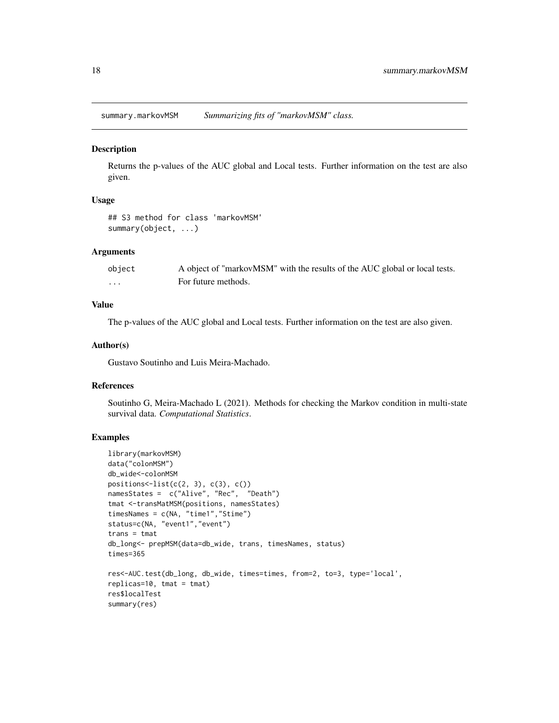<span id="page-17-0"></span>summary.markovMSM *Summarizing fits of "markovMSM" class.*

#### **Description**

Returns the p-values of the AUC global and Local tests. Further information on the test are also given.

## Usage

```
## S3 method for class 'markovMSM'
summary(object, ...)
```
#### Arguments

| object | A object of "markovMSM" with the results of the AUC global or local tests. |
|--------|----------------------------------------------------------------------------|
| .      | For future methods.                                                        |

#### Value

The p-values of the AUC global and Local tests. Further information on the test are also given.

## Author(s)

Gustavo Soutinho and Luis Meira-Machado.

## References

Soutinho G, Meira-Machado L (2021). Methods for checking the Markov condition in multi-state survival data. *Computational Statistics*.

```
library(markovMSM)
data("colonMSM")
db_wide<-colonMSM
positions \le-list(c(2, 3), c(3), c())
namesStates = c("Alive", "Rec", "Death")
tmat <-transMatMSM(positions, namesStates)
timesNames = c(NA, "time1","Stime")
status=c(NA, "event1","event")
trans = tmatdb_long<- prepMSM(data=db_wide, trans, timesNames, status)
times=365
res<-AUC.test(db_long, db_wide, times=times, from=2, to=3, type='local',
replicas=10, tmat = tmat)
res$localTest
summary(res)
```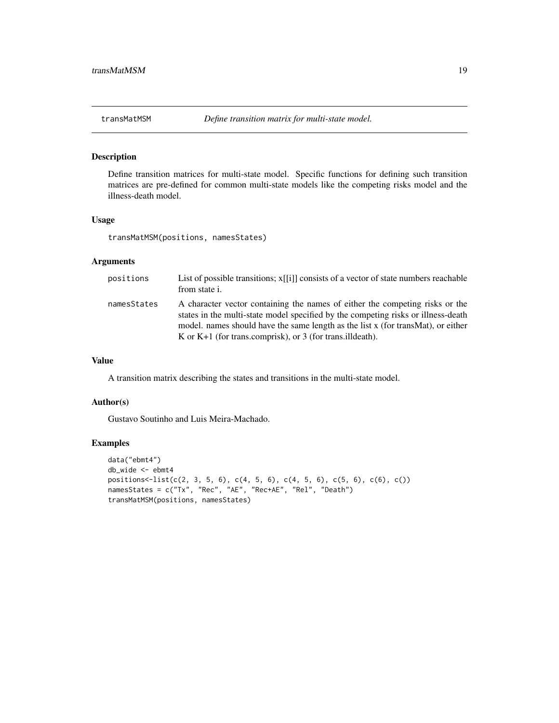<span id="page-18-0"></span>

## Description

Define transition matrices for multi-state model. Specific functions for defining such transition matrices are pre-defined for common multi-state models like the competing risks model and the illness-death model.

#### Usage

transMatMSM(positions, namesStates)

## Arguments

| positions   | List of possible transitions; $x[[i]]$ consists of a vector of state numbers reachable<br>from state i.                                                                                                                                                                                                               |
|-------------|-----------------------------------------------------------------------------------------------------------------------------------------------------------------------------------------------------------------------------------------------------------------------------------------------------------------------|
| namesStates | A character vector containing the names of either the competing risks or the<br>states in the multi-state model specified by the competing risks or illness-death<br>model, names should have the same length as the list x (for transMat), or either<br>K or $K+1$ (for trans.comprisk), or 3 (for trans.ill death). |

## Value

A transition matrix describing the states and transitions in the multi-state model.

## Author(s)

Gustavo Soutinho and Luis Meira-Machado.

```
data("ebmt4")
db_wide <- ebmt4
positions<-list(c(2, 3, 5, 6), c(4, 5, 6), c(4, 5, 6), c(5, 6), c(6), c())
namesStates = c("Tx", "Rec", "AE", "Rec+AE", "Rel", "Death")
transMatMSM(positions, namesStates)
```